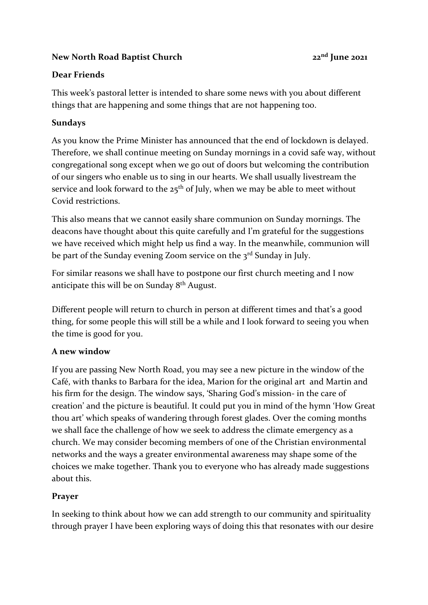### **New North Road Baptist Church 22nd June 2021**

## **Dear Friends**

This week's pastoral letter is intended to share some news with you about different things that are happening and some things that are not happening too.

## **Sundays**

As you know the Prime Minister has announced that the end of lockdown is delayed. Therefore, we shall continue meeting on Sunday mornings in a covid safe way, without congregational song except when we go out of doors but welcoming the contribution of our singers who enable us to sing in our hearts. We shall usually livestream the service and look forward to the  $25<sup>th</sup>$  of July, when we may be able to meet without Covid restrictions.

This also means that we cannot easily share communion on Sunday mornings. The deacons have thought about this quite carefully and I'm grateful for the suggestions we have received which might help us find a way. In the meanwhile, communion will be part of the Sunday evening Zoom service on the 3<sup>rd</sup> Sunday in July.

For similar reasons we shall have to postpone our first church meeting and I now anticipate this will be on Sunday 8th August.

Different people will return to church in person at different times and that's a good thing, for some people this will still be a while and I look forward to seeing you when the time is good for you.

### **A new window**

If you are passing New North Road, you may see a new picture in the window of the Café, with thanks to Barbara for the idea, Marion for the original art and Martin and his firm for the design. The window says, 'Sharing God's mission- in the care of creation' and the picture is beautiful. It could put you in mind of the hymn 'How Great thou art' which speaks of wandering through forest glades. Over the coming months we shall face the challenge of how we seek to address the climate emergency as a church. We may consider becoming members of one of the Christian environmental networks and the ways a greater environmental awareness may shape some of the choices we make together. Thank you to everyone who has already made suggestions about this.

# **Prayer**

In seeking to think about how we can add strength to our community and spirituality through prayer I have been exploring ways of doing this that resonates with our desire